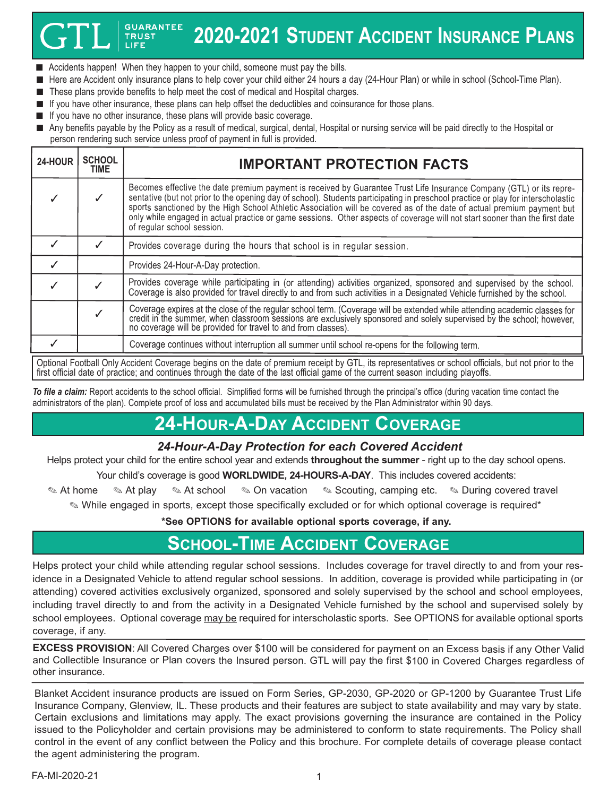### **GUARANTEE 2020-2021 STUDENT ACCIDENT INSURANCE PLANS TRUST**

- Accidents happen! When they happen to your child, someone must pay the bills.
- Here are Accident only insurance plans to help cover your child either 24 hours a day (24-Hour Plan) or while in school (School-Time Plan).
- These plans provide benefits to help meet the cost of medical and Hospital charges.
- If you have other insurance, these plans can help offset the deductibles and coinsurance for those plans.
- If you have no other insurance, these plans will provide basic coverage.
- Any benefits payable by the Policy as a result of medical, surgical, dental, Hospital or nursing service will be paid directly to the Hospital or person rendering such service unless proof of payment in full is provided.

| 24-HOUR | <b>SCHOOL</b><br>TIME                                                                                                                                | <b>IMPORTANT PROTECTION FACTS</b>                                                                                                                                                                                                                                                                                                                                                                                                                                                                                                               |  |  |  |
|---------|------------------------------------------------------------------------------------------------------------------------------------------------------|-------------------------------------------------------------------------------------------------------------------------------------------------------------------------------------------------------------------------------------------------------------------------------------------------------------------------------------------------------------------------------------------------------------------------------------------------------------------------------------------------------------------------------------------------|--|--|--|
|         |                                                                                                                                                      | Becomes effective the date premium payment is received by Guarantee Trust Life Insurance Company (GTL) or its repre-<br>sentative (but not prior to the opening day of school). Students participating in preschool practice or play for interscholastic<br>sports sanctioned by the High School Athletic Association will be covered as of the date of actual premium payment but<br>only while engaged in actual practice or game sessions. Other aspects of coverage will not start sooner than the first date<br>of regular school session. |  |  |  |
|         |                                                                                                                                                      | Provides coverage during the hours that school is in regular session.                                                                                                                                                                                                                                                                                                                                                                                                                                                                           |  |  |  |
|         |                                                                                                                                                      | Provides 24-Hour-A-Day protection.                                                                                                                                                                                                                                                                                                                                                                                                                                                                                                              |  |  |  |
|         |                                                                                                                                                      | Provides coverage while participating in (or attending) activities organized, sponsored and supervised by the school.<br>Coverage is also provided for travel directly to and from such activities in a Designated Vehicle furnished by the school.                                                                                                                                                                                                                                                                                             |  |  |  |
|         |                                                                                                                                                      | Coverage expires at the close of the regular school term. (Coverage will be extended while attending academic classes for credit in the summer, when classroom sessions are exclusively sponsored and solely supervised by the<br>no coverage will be provided for travel to and from classes).                                                                                                                                                                                                                                                 |  |  |  |
|         |                                                                                                                                                      | Coverage continues without interruption all summer until school re-opens for the following term.                                                                                                                                                                                                                                                                                                                                                                                                                                                |  |  |  |
|         | Ontianal Football Only Appident Coverage bogins on the data of promium resolut by CTL its representatives are school officials, but not prior to the |                                                                                                                                                                                                                                                                                                                                                                                                                                                                                                                                                 |  |  |  |

Optional Football Only Accident Coverage begins on the date of premium receipt by GTL, its representatives or school officials, but not prior to the first official date of practice; and continues through the date of the last official game of the current season including playoffs.

*To file a claim:* Report accidents to the school official. Simplified forms will be furnished through the principal's office (during vacation time contact the administrators of the plan). Complete proof of loss and accumulated bills must be received by the Plan Administrator within 90 days.

# **24-HOUR-A-DAY ACCIDENT COVERAGE**

### *24-Hour-A-Day Protection for each Covered Accident*

Helps protect your child for the entire school year and extends **throughout the summer** - right up to the day school opens.

Your child's coverage is good **WORLDWIDE, 24-HOURS-A-DAY**. This includes covered accidents:

✎ At home ✎ At play ✎ At school ✎ On vacation ✎ Scouting, camping etc. ✎ During covered travel

✎ While engaged in sports, except those specifically excluded or for which optional coverage is required\*

**\*See OPTIONS for available optional sports coverage, if any.**

# **SCHOOL-TIME ACCIDENT COVERAGE**

Helps protect your child while attending regular school sessions. Includes coverage for travel directly to and from your residence in a Designated Vehicle to attend regular school sessions. In addition, coverage is provided while participating in (or attending) covered activities exclusively organized, sponsored and solely supervised by the school and school employees, including travel directly to and from the activity in a Designated Vehicle furnished by the school and supervised solely by school employees. Optional coverage may be required for interscholastic sports. See OPTIONS for available optional sports coverage, if any.

**EXCESS PROVISION**: All Covered Charges over \$100 will be considered for payment on an Excess basis if any Other Valid and Collectible Insurance or Plan covers the Insured person. GTL will pay the first \$100 in Covered Charges regardless of other insurance.

Blanket Accident insurance products are issued on Form Series, GP-2030, GP-2020 or GP-1200 by Guarantee Trust Life Insurance Company, Glenview, IL. These products and their features are subject to state availability and may vary by state. Certain exclusions and limitations may apply. The exact provisions governing the insurance are contained in the Policy issued to the Policyholder and certain provisions may be administered to conform to state requirements. The Policy shall control in the event of any conflict between the Policy and this brochure. For complete details of coverage please contact the agent administering the program.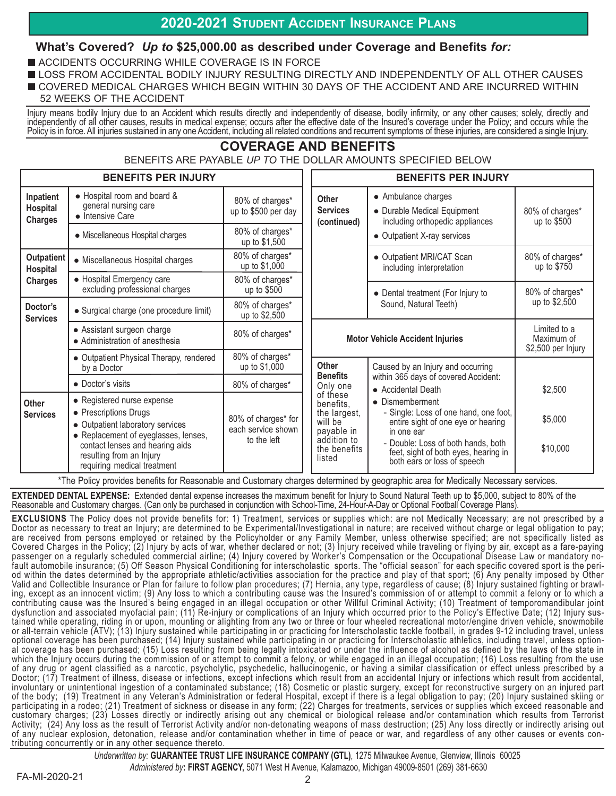## **2020-2021 STUDENT ACCIDENT INSURANCE PLANS**

### **What's Covered?** *Up to* **\$25,000.00 as described under Coverage and Benefits** *for:*

- ACCIDENTS OCCURRING WHILE COVERAGE IS IN FORCE
- LOSS FROM ACCIDENTAL BODILY INJURY RESULTING DIRECTLY AND INDEPENDENTLY OF ALL OTHER CAUSES
- COVERED MEDICAL CHARGES WHICH BEGIN WITHIN 30 DAYS OF THE ACCIDENT AND ARE INCURRED WITHIN
- 52 WEEKS OF THE ACCIDENT

Injury means bodily Injury due to an Accident which results directly and independently of disease, bodily infirmity, or any other causes; solely, directly and independently of all other causes, results in medical expense; occurs after the effective date of the Insured's coverage under the Policy; and occurs while the Policy is in force. All injuries sustained in any one Accident, including all related conditions and recurrent symptoms of these injuries, are considered a single Injury.

# **COVERAGE AND BENEFITS**

BENEFITS ARE PAYABLE *UP TO* THE DOLLAR AMOUNTS SPECIFIED BELOW

|                                                 | <b>BENEFITS PER INJURY</b>                                                                                                                                                                                                    |                                                          | <b>BENEFITS PER INJURY</b>                                                                              |                                                                                                                                                                                                                           |                                                  |
|-------------------------------------------------|-------------------------------------------------------------------------------------------------------------------------------------------------------------------------------------------------------------------------------|----------------------------------------------------------|---------------------------------------------------------------------------------------------------------|---------------------------------------------------------------------------------------------------------------------------------------------------------------------------------------------------------------------------|--------------------------------------------------|
| Inpatient<br>Hospital<br><b>Charges</b>         | • Hospital room and board &<br>general nursing care<br>• Intensive Care                                                                                                                                                       | 80% of charges*<br>up to \$500 per day                   | <b>Other</b><br><b>Services</b><br>(continued)                                                          | • Ambulance charges<br>• Durable Medical Equipment<br>including orthopedic appliances<br>• Outpatient X-ray services                                                                                                      | 80% of charges*<br>up to \$500                   |
|                                                 | • Miscellaneous Hospital charges                                                                                                                                                                                              | 80% of charges*<br>up to \$1,500                         |                                                                                                         |                                                                                                                                                                                                                           |                                                  |
| <b>Outpatient</b><br>Hospital<br><b>Charges</b> | • Miscellaneous Hospital charges                                                                                                                                                                                              | 80% of charges*<br>up to \$1,000                         |                                                                                                         | • Outpatient MRI/CAT Scan<br>including interpretation                                                                                                                                                                     | 80% of charges*<br>up to \$750                   |
|                                                 | • Hospital Emergency care<br>excluding professional charges                                                                                                                                                                   | 80% of charges*<br>up to \$500                           |                                                                                                         | • Dental treatment (For Injury to<br>Sound, Natural Teeth)                                                                                                                                                                | 80% of charges*<br>up to \$2,500                 |
| Doctor's<br><b>Services</b>                     | • Surgical charge (one procedure limit)                                                                                                                                                                                       | 80% of charges*<br>up to \$2,500                         |                                                                                                         |                                                                                                                                                                                                                           |                                                  |
|                                                 | • Assistant surgeon charge<br>• Administration of anesthesia                                                                                                                                                                  | 80% of charges*                                          | <b>Motor Vehicle Accident Injuries</b>                                                                  |                                                                                                                                                                                                                           | Limited to a<br>Maximum of<br>\$2,500 per Injury |
|                                                 | • Outpatient Physical Therapy, rendered<br>by a Doctor                                                                                                                                                                        | 80% of charges*<br>up to \$1,000                         | Other                                                                                                   | Caused by an Injury and occurring                                                                                                                                                                                         |                                                  |
|                                                 | • Doctor's visits                                                                                                                                                                                                             | 80% of charges*                                          | <b>Benefits</b><br>Only one                                                                             | within 365 days of covered Accident:<br>• Accidental Death                                                                                                                                                                | \$2,500                                          |
| Other<br><b>Services</b>                        | • Registered nurse expense<br>• Prescriptions Drugs<br>• Outpatient laboratory services<br>• Replacement of eyeglasses, lenses,<br>contact lenses and hearing aids<br>resulting from an Injury<br>requiring medical treatment | 80% of charges* for<br>each service shown<br>to the left | of these<br>benefits.<br>the largest,<br>will be<br>payable in<br>addition to<br>the benefits<br>listed | • Dismemberment<br>- Single: Loss of one hand, one foot,<br>entire sight of one eye or hearing<br>in one ear<br>- Double: Loss of both hands, both<br>feet, sight of both eyes, hearing in<br>both ears or loss of speech | \$5,000<br>\$10,000                              |

\*The Policy provides benefits for Reasonable and Customary charges determined by geographic area for Medically Necessary services.

**EXTENDED DENTAL EXPENSE:** Extended dental expense increases the maximum benefit for Injury to Sound Natural Teeth up to \$5,000, subject to 80% of the Reasonable and Customary charges. (Can only be purchased in conjunction with School-Time, 24-Hour-A-Day or Optional Football Coverage Plans).

**EXCLUSIONS** The Policy does not provide benefits for: 1) Treatment, services or supplies which: are not Medically Necessary; are not prescribed by a Doctor as necessary to treat an Injury; are determined to be Experimental/Investigational in nature; are received without charge or legal obligation to pay; are received from persons employed or retained by the Policyholder or any Family Member, unless otherwise specified; are not specifically listed as Covered Charges in the Policy; (2) Injury by acts of war, whether declared or not; (3) Injury received while traveling or flying by air, except as a fare-paying passenger on a regularly scheduled commercial airline; (4) Injury covered by Worker's Compensation or the Occupational Disease Law or mandatory nofault automobile insurance; (5) Off Season Physical Conditioning for interscholastic sports. The "official season" for each specific covered sport is the period within the dates determined by the appropriate athletic/activities association for the practice and play of that sport; (6) Any penalty imposed by Other Valid and Collectible Insurance or Plan for failure to follow plan procedures; (7) Hernia, any type, regardless of cause; (8) Injury sustained fighting or brawling, except as an innocent victim; (9) Any loss to which a contributing cause was the Insured's commission of or attempt to commit a felony or to which a contributing cause was the Insured's being engaged in an illegal occupation or other Willful Criminal Activity; (10) Treatment of temporomandibular joint dysfunction and associated myofacial pain; (11) Re-injury or complications of an Injury which occurred prior to the Policy's Effective Date; (12) Injury sustained while operating, riding in or upon, mounting or alighting from any two or three or four wheeled recreational motor/engine driven vehicle, snowmobile or all-terrain vehicle (ATV); (13) Injury sustained while participating in or practicing for Interscholastic tackle football, in grades 9-12 including travel, unless optional coverage has been purchased; (14) Injury sustained while participating in or practicing for Interscholastic athletics, including travel, unless optional coverage has been purchased; (15) Loss resulting from being legally intoxicated or under the influence of alcohol as defined by the laws of the state in which the Injury occurs during the commission of or attempt to commit a felony, or while engaged in an illegal occupation; (16) Loss resulting from the use of any drug or agent classified as a narcotic, psycholytic, psychedelic, hallucinogenic, or having a similar classification or effect unless prescribed by a Doctor; (17) Treatment of illness, disease or infections, except infections which result from an accidental Injury or infections which result from accidental, involuntary or unintentional ingestion of a contaminated substance; (18) Cosmetic or plastic surgery, except for reconstructive surgery on an injured part of the body; (19) Treatment in any Veteran's Administration or federal Hospital, except if there is a legal obligation to pay; (20) Injury sustained skiing or participating in a rodeo; (21) Treatment of sickness or disease in any form; (22) Charges for treatments, services or supplies which exceed reasonable and customary charges; (23) Losses directly or indirectly arising out any chemical or biological release and/or contamination which results from Terrorist Activity; (24) Any loss as the result of Terrorist Activity and/or non-detonating weapons of mass destruction; (25) Any loss directly or indirectly arising out of any nuclear explosion, detonation, release and/or contamination whether in time of peace or war, and regardless of any other causes or events contributing concurrently or in any other sequence thereto.

> *Underwritten by:* **GUARANTEE TRUST LIFE INSURANCE COMPANY (GTL)**, 1275 Milwaukee Avenue, Glenview, Illinois 60025 *Administered by***: FIRST AGENCY,** 5071 West H Avenue, Kalamazoo, Michigan 49009-8501 (269) 381-6630